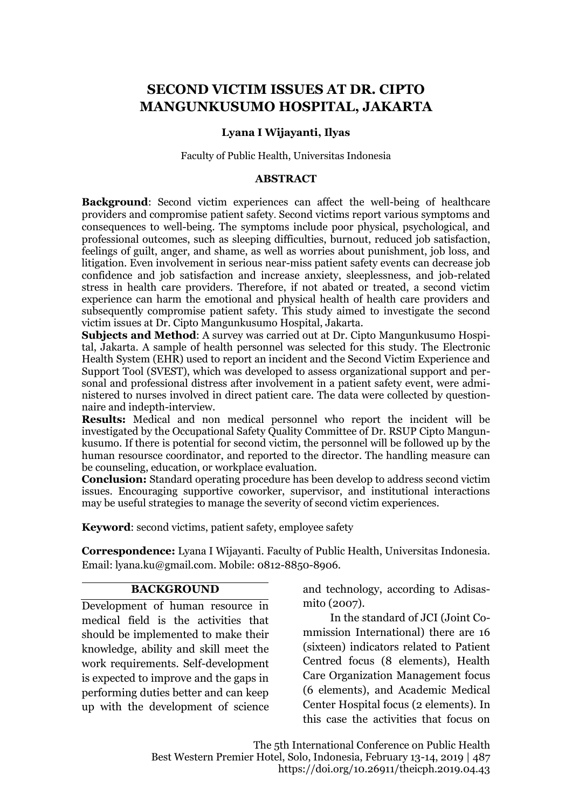# **SECOND VICTIM ISSUES AT DR. CIPTO MANGUNKUSUMO HOSPITAL, JAKARTA**

#### **Lyana I Wijayanti, Ilyas**

#### Faculty of Public Health, Universitas Indonesia

#### **ABSTRACT**

**Background**: Second victim experiences can affect the well-being of healthcare providers and compromise patient safety. Second victims report various symptoms and consequences to well-being. The symptoms include poor physical, psychological, and professional outcomes, such as sleeping difficulties, burnout, reduced job satisfaction, feelings of guilt, anger, and shame, as well as worries about punishment, job loss, and litigation. Even involvement in serious near-miss patient safety events can decrease job confidence and job satisfaction and increase anxiety, sleeplessness, and job-related stress in health care providers. Therefore, if not abated or treated, a second victim experience can harm the emotional and physical health of health care providers and subsequently compromise patient safety. This study aimed to investigate the second victim issues at Dr. Cipto Mangunkusumo Hospital, Jakarta.

**Subjects and Method**: A survey was carried out at Dr. Cipto Mangunkusumo Hospital, Jakarta. A sample of health personnel was selected for this study. The Electronic Health System (EHR) used to report an incident and the Second Victim Experience and Support Tool (SVEST), which was developed to assess organizational support and personal and professional distress after involvement in a patient safety event, were administered to nurses involved in direct patient care. The data were collected by questionnaire and indepth-interview.

**Results:** Medical and non medical personnel who report the incident will be investigated by the Occupational Safety Quality Committee of Dr. RSUP Cipto Mangunkusumo. If there is potential for second victim, the personnel will be followed up by the human resoursce coordinator, and reported to the director. The handling measure can be counseling, education, or workplace evaluation.

**Conclusion:** Standard operating procedure has been develop to address second victim issues. Encouraging supportive coworker, supervisor, and institutional interactions may be useful strategies to manage the severity of second victim experiences.

**Keyword**: second victims, patient safety, employee safety

**Correspondence:** Lyana I Wijayanti. Faculty of Public Health, Universitas Indonesia. Email: lyana.ku@gmail.com. Mobile: 0812-8850-8906.

#### **BACKGROUND**

Development of human resource in medical field is the activities that should be implemented to make their knowledge, ability and skill meet the work requirements. Self-development is expected to improve and the gaps in performing duties better and can keep up with the development of science and technology, according to Adisasmito (2007).

In the standard of JCI (Joint Commission International) there are 16 (sixteen) indicators related to Patient Centred focus (8 elements), Health Care Organization Management focus (6 elements), and Academic Medical Center Hospital focus (2 elements). In this case the activities that focus on

The 5th International Conference on Public Health Best Western Premier Hotel, Solo, Indonesia, February 13-14, 2019 | 487 https://doi.org/10.26911/theicph.2019.04.43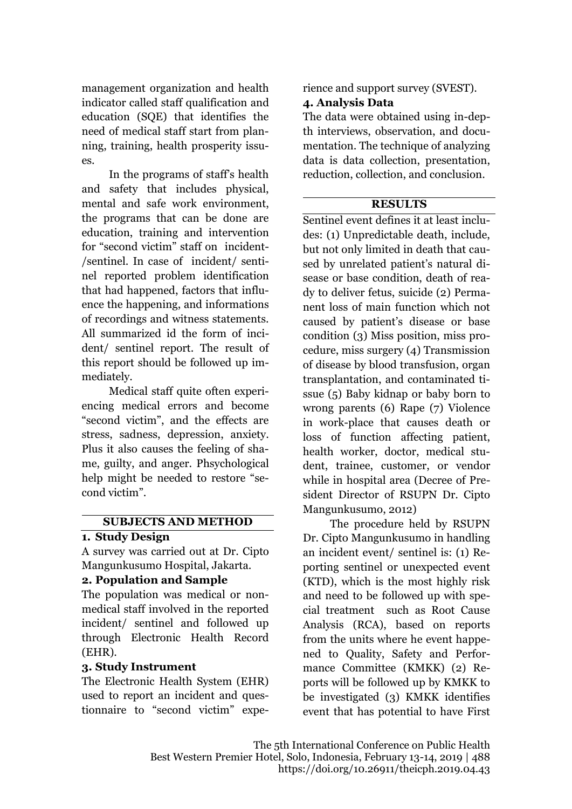management organization and health indicator called staff qualification and education (SQE) that identifies the need of medical staff start from planning, training, health prosperity issues.

In the programs of staff's health and safety that includes physical, mental and safe work environment, the programs that can be done are education, training and intervention for "second victim" staff on incident- /sentinel. In case of incident/ sentinel reported problem identification that had happened, factors that influence the happening, and informations of recordings and witness statements. All summarized id the form of incident/ sentinel report. The result of this report should be followed up immediately.

Medical staff quite often experiencing medical errors and become "second victim", and the effects are stress, sadness, depression, anxiety. Plus it also causes the feeling of shame, guilty, and anger. Phsychological help might be needed to restore "second victim".

# **SUBJECTS AND METHOD**

#### **1. Study Design**

A survey was carried out at Dr. Cipto Mangunkusumo Hospital, Jakarta.

# **2. Population and Sample**

The population was medical or nonmedical staff involved in the reported incident/ sentinel and followed up through Electronic Health Record (EHR).

# **3. Study Instrument**

The Electronic Health System (EHR) used to report an incident and questionnaire to "second victim" experience and support survey (SVEST).

### **4. Analysis Data**

The data were obtained using in-depth interviews, observation, and documentation. The technique of analyzing data is data collection, presentation, reduction, collection, and conclusion.

# **RESULTS**

Sentinel event defines it at least includes: (1) Unpredictable death, include, but not only limited in death that caused by unrelated patient's natural disease or base condition, death of ready to deliver fetus, suicide (2) Permanent loss of main function which not caused by patient's disease or base condition (3) Miss position, miss procedure, miss surgery (4) Transmission of disease by blood transfusion, organ transplantation, and contaminated tissue (5) Baby kidnap or baby born to wrong parents (6) Rape (7) Violence in work-place that causes death or loss of function affecting patient, health worker, doctor, medical student, trainee, customer, or vendor while in hospital area (Decree of President Director of RSUPN Dr. Cipto Mangunkusumo, 2012)

The procedure held by RSUPN Dr. Cipto Mangunkusumo in handling an incident event/ sentinel is: (1) Reporting sentinel or unexpected event (KTD), which is the most highly risk and need to be followed up with special treatment such as Root Cause Analysis (RCA), based on reports from the units where he event happened to Quality, Safety and Performance Committee (KMKK) (2) Reports will be followed up by KMKK to be investigated (3) KMKK identifies event that has potential to have First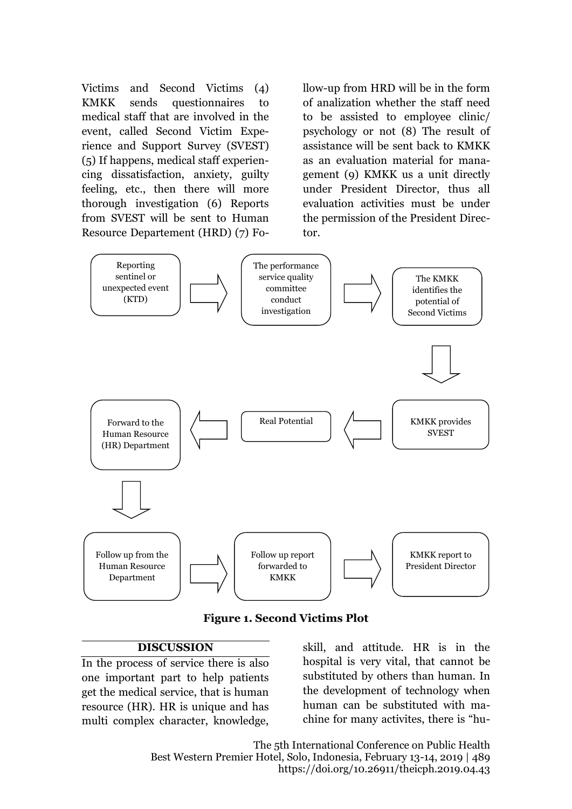Victims and Second Victims (4) KMKK sends questionnaires to medical staff that are involved in the event, called Second Victim Experience and Support Survey (SVEST) (5) If happens, medical staff experiencing dissatisfaction, anxiety, guilty feeling, etc., then there will more thorough investigation (6) Reports from SVEST will be sent to Human Resource Departement (HRD) (7) Follow-up from HRD will be in the form of analization whether the staff need to be assisted to employee clinic/ psychology or not (8) The result of assistance will be sent back to KMKK as an evaluation material for management (9) KMKK us a unit directly under President Director, thus all evaluation activities must be under the permission of the President Director.



**Figure 1. Second Victims Plot**

# **DISCUSSION**

In the process of service there is also one important part to help patients get the medical service, that is human resource (HR). HR is unique and has multi complex character, knowledge,

skill, and attitude. HR is in the hospital is very vital, that cannot be substituted by others than human. In the development of technology when human can be substituted with machine for many activites, there is "hu-

The 5th International Conference on Public Health Best Western Premier Hotel, Solo, Indonesia, February 13-14, 2019 | 489 https://doi.org/10.26911/theicph.2019.04.43